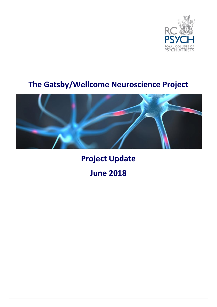

## **The Gatsby/Wellcome Neuroscience Project**



**Project Update June 2018**